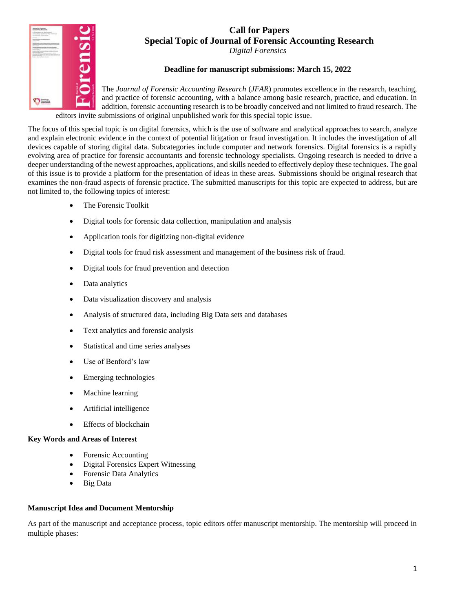# **Call for Papers Special Topic of Journal of Forensic Accounting Research**

*Digital Forensics*

## **Deadline for manuscript submissions: March 15, 2022**

The *Journal of Forensic Accounting Research* (*JFAR*) promotes excellence in the research, teaching, and practice of forensic accounting, with a balance among basic research, practice, and education. In addition, forensic accounting research is to be broadly conceived and not limited to fraud research. The editors invite submissions of original unpublished work for this special topic issue.

The focus of this special topic is on digital forensics, which is the use of software and analytical approaches to search, analyze and explain electronic evidence in the context of potential litigation or fraud investigation. It includes the investigation of all devices capable of storing digital data. Subcategories include computer and network forensics. Digital forensics is a rapidly evolving area of practice for forensic accountants and forensic technology specialists. Ongoing research is needed to drive a deeper understanding of the newest approaches, applications, and skills needed to effectively deploy these techniques. The goal of this issue is to provide a platform for the presentation of ideas in these areas. Submissions should be original research that examines the non-fraud aspects of forensic practice. The submitted manuscripts for this topic are expected to address, but are not limited to, the following topics of interest:

The Forensic Toolkit

 $\sigma =$ 

- Digital tools for forensic data collection, manipulation and analysis
- Application tools for digitizing non-digital evidence
- Digital tools for fraud risk assessment and management of the business risk of fraud.
- Digital tools for fraud prevention and detection
- Data analytics
- Data visualization discovery and analysis
- Analysis of structured data, including Big Data sets and databases
- Text analytics and forensic analysis
- Statistical and time series analyses
- Use of Benford's law
- Emerging technologies
- Machine learning
- Artificial intelligence
- Effects of blockchain

### **Key Words and Areas of Interest**

- Forensic Accounting
- Digital Forensics Expert Witnessing
- Forensic Data Analytics
- Big Data

### **Manuscript Idea and Document Mentorship**

As part of the manuscript and acceptance process, topic editors offer manuscript mentorship. The mentorship will proceed in multiple phases: